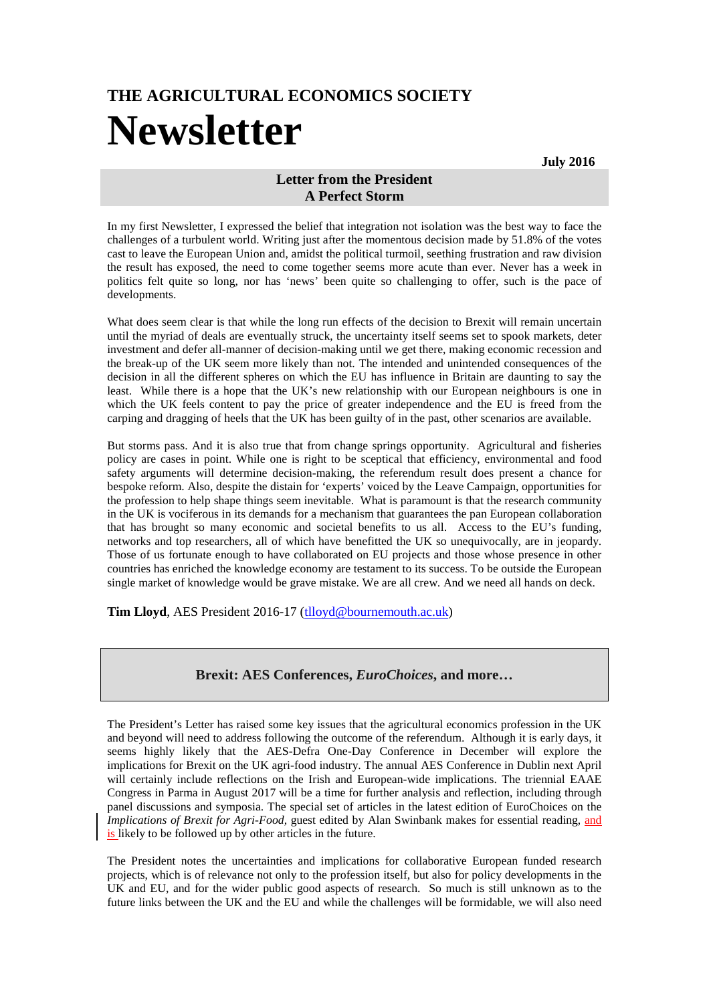## **THE AGRICULTURAL ECONOMICS SOCIETY Newsletter**

**July 2016**

## **Letter from the President A Perfect Storm**

In my first Newsletter, I expressed the belief that integration not isolation was the best way to face the challenges of a turbulent world. Writing just after the momentous decision made by 51.8% of the votes cast to leave the European Union and, amidst the political turmoil, seething frustration and raw division the result has exposed, the need to come together seems more acute than ever. Never has a week in politics felt quite so long, nor has 'news' been quite so challenging to offer, such is the pace of developments.

What does seem clear is that while the long run effects of the decision to Brexit will remain uncertain until the myriad of deals are eventually struck, the uncertainty itself seems set to spook markets, deter investment and defer all-manner of decision-making until we get there, making economic recession and the break-up of the UK seem more likely than not. The intended and unintended consequences of the decision in all the different spheres on which the EU has influence in Britain are daunting to say the least. While there is a hope that the UK's new relationship with our European neighbours is one in which the UK feels content to pay the price of greater independence and the EU is freed from the carping and dragging of heels that the UK has been guilty of in the past, other scenarios are available.

But storms pass. And it is also true that from change springs opportunity. Agricultural and fisheries policy are cases in point. While one is right to be sceptical that efficiency, environmental and food safety arguments will determine decision-making, the referendum result does present a chance for bespoke reform. Also, despite the distain for 'experts' voiced by the Leave Campaign, opportunities for the profession to help shape things seem inevitable. What is paramount is that the research community in the UK is vociferous in its demands for a mechanism that guarantees the pan European collaboration that has brought so many economic and societal benefits to us all. Access to the EU's funding, networks and top researchers, all of which have benefitted the UK so unequivocally, are in jeopardy. Those of us fortunate enough to have collaborated on EU projects and those whose presence in other countries has enriched the knowledge economy are testament to its success. To be outside the European single market of knowledge would be grave mistake. We are all crew. And we need all hands on deck.

**Tim Lloyd**, AES President 2016-17 [\(tlloyd@bournemouth.ac.uk\)](mailto:tlloyd@bournemouth.ac.uk)

## **Brexit: AES Conferences,** *EuroChoices***, and more…**

The President's Letter has raised some key issues that the agricultural economics profession in the UK and beyond will need to address following the outcome of the referendum. Although it is early days, it seems highly likely that the AES-Defra One-Day Conference in December will explore the implications for Brexit on the UK agri-food industry. The annual AES Conference in Dublin next April will certainly include reflections on the Irish and European-wide implications. The triennial EAAE Congress in Parma in August 2017 will be a time for further analysis and reflection, including through panel discussions and symposia. The special set of articles in the latest edition of EuroChoices on the *Implications of Brexit for Agri-Food,* guest edited by Alan Swinbank makes for essential reading, and is likely to be followed up by other articles in the future.

The President notes the uncertainties and implications for collaborative European funded research projects, which is of relevance not only to the profession itself, but also for policy developments in the UK and EU, and for the wider public good aspects of research. So much is still unknown as to the future links between the UK and the EU and while the challenges will be formidable, we will also need